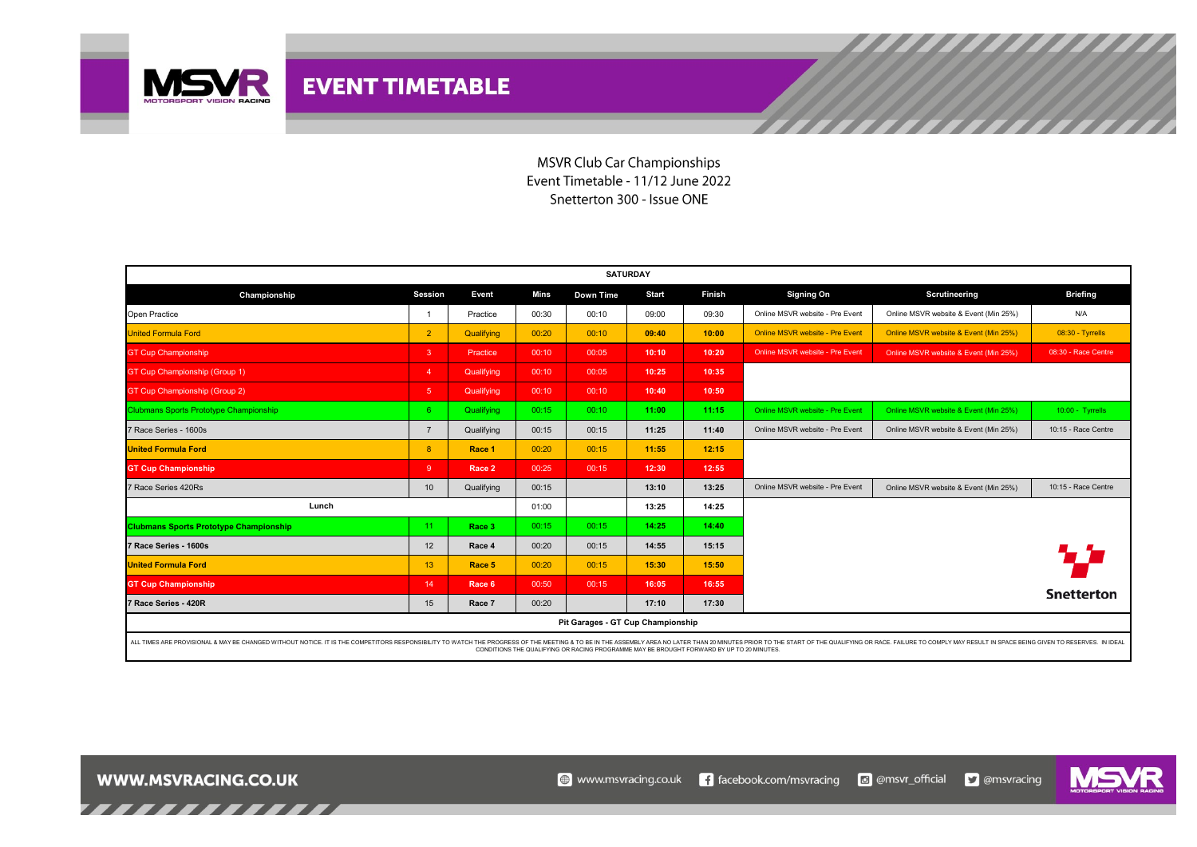

**MSVR Club Car Championships** Event Timetable - 11/12 June 2022 Snetterton 300 - Issue ONE

| <b>SATURDAY</b>                                                                                                                                                                                                                |                   |            |       |           |              |               |                                 |                                       |                     |  |  |
|--------------------------------------------------------------------------------------------------------------------------------------------------------------------------------------------------------------------------------|-------------------|------------|-------|-----------|--------------|---------------|---------------------------------|---------------------------------------|---------------------|--|--|
| Championship                                                                                                                                                                                                                   | Session           | Event      | Mins  | Down Time | <b>Start</b> | <b>Finish</b> | <b>Signing On</b>               | Scrutineering                         | <b>Briefing</b>     |  |  |
| Open Practice                                                                                                                                                                                                                  | $\overline{1}$    | Practice   | 00:30 | 00:10     | 09:00        | 09:30         | Online MSVR website - Pre Event | Online MSVR website & Event (Min 25%) | N/A                 |  |  |
| <b>United Formula Ford</b>                                                                                                                                                                                                     | $\overline{2}$    | Qualifying | 00:20 | 00:10     | 09:40        | 10:00         | Online MSVR website - Pre Event | Online MSVR website & Event (Min 25%) | 08:30 - Tyrrells    |  |  |
| <b>GT Cup Championship</b>                                                                                                                                                                                                     | -3                | Practice   | 00:10 | 00:05     | 10:10        | 10:20         | Online MSVR website - Pre Event | Online MSVR website & Event (Min 25%) | 08:30 - Race Centre |  |  |
| GT Cup Championship (Group 1)                                                                                                                                                                                                  | $\overline{4}$    | Qualifying | 00:10 | 00:05     | 10:25        | 10:35         |                                 |                                       |                     |  |  |
| GT Cup Championship (Group 2)                                                                                                                                                                                                  | $5\phantom{.0}$   | Qualifying | 00:10 | 00:10     | 10:40        | 10:50         |                                 |                                       |                     |  |  |
| <b>Clubmans Sports Prototype Championship</b>                                                                                                                                                                                  | 6 <sup>1</sup>    | Qualifying | 00:15 | 00:10     | 11:00        | 11:15         | Online MSVR website - Pre Event | Online MSVR website & Event (Min 25%) | 10:00 - Tyrrells    |  |  |
| 7 Race Series - 1600s                                                                                                                                                                                                          | $\overline{7}$    | Qualifying | 00:15 | 00:15     | 11:25        | 11:40         | Online MSVR website - Pre Event | Online MSVR website & Event (Min 25%) | 10:15 - Race Centre |  |  |
| <b>United Formula Ford</b>                                                                                                                                                                                                     | 8                 | Race 1     | 00:20 | 00:15     | 11:55        | 12:15         |                                 |                                       |                     |  |  |
| <b>GT Cup Championship</b>                                                                                                                                                                                                     | -9                | Race 2     | 00:25 | 00:15     | 12:30        | 12:55         |                                 |                                       |                     |  |  |
| 7 Race Series 420Rs                                                                                                                                                                                                            | 10 <sup>10</sup>  | Qualifying | 00:15 |           | 13:10        | 13:25         | Online MSVR website - Pre Event | Online MSVR website & Event (Min 25%) | 10:15 - Race Centre |  |  |
| Lunch                                                                                                                                                                                                                          |                   |            | 01:00 |           | 13:25        | 14:25         |                                 |                                       |                     |  |  |
| <b>Clubmans Sports Prototype Championship</b>                                                                                                                                                                                  | 11                | Race 3     | 00:15 | 00:15     | 14:25        | 14:40         |                                 |                                       |                     |  |  |
| 7 Race Series - 1600s                                                                                                                                                                                                          | $12 \overline{ }$ | Race 4     | 00:20 | 00:15     | 14:55        | 15:15         |                                 |                                       |                     |  |  |
| <b>United Formula Ford</b>                                                                                                                                                                                                     | 13                | Race 5     | 00:20 | 00:15     | 15:30        | 15:50         |                                 |                                       |                     |  |  |
| <b>GT Cup Championship</b>                                                                                                                                                                                                     | 14                | Race 6     | 00:50 | 00:15     | 16:05        | 16:55         |                                 |                                       |                     |  |  |
| 7 Race Series - 420R                                                                                                                                                                                                           | 15                | Race 7     | 00:20 |           | 17:10        | 17:30         |                                 |                                       | <b>Snetterton</b>   |  |  |
| Pit Garages - GT Cup Championship                                                                                                                                                                                              |                   |            |       |           |              |               |                                 |                                       |                     |  |  |
| ALL TIMES ARE PROVISIONAL & MAY BE CHANGED WITHOUT NOTICE. IT IS THE COMPETITORS RESPONSIBILITY TO WATCH THE PROGRESS OF THE MEETING & TO BE IN THE ASSEMBLY AREA NO LATER THAN 20 MINUTES PRIOR TO THE START OF THE QUALIFYIN |                   |            |       |           |              |               |                                 |                                       |                     |  |  |

ALL TIMES ARE PROVISIONAL & MAY BE CHANGED WITHOUT NOTICE. IT IS THE COMPETITORS RESPONSIBILITY TO WATCH TO WATCH TO WATCH TO WATCH TO THE OSPAINT ARE DISCUSS OF THE RUN ARE DISCORDED TO AN INVERSEMENT DESTAINE AND RESTAIN



,,,,,,,,,,,,,